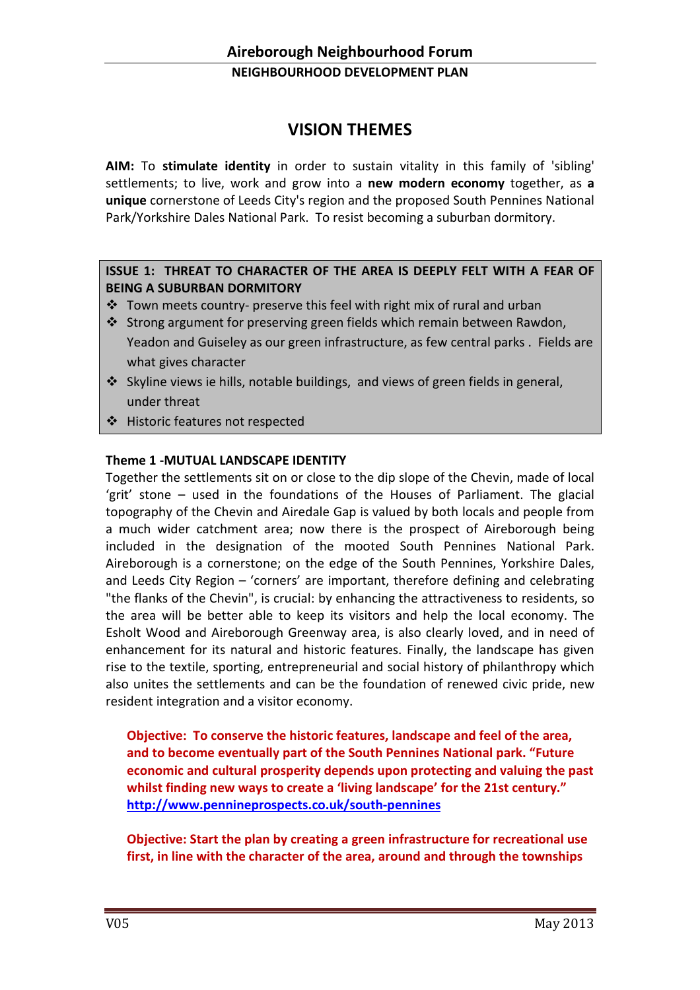# VISION THEMES

AIM: To stimulate identity in order to sustain vitality in this family of 'sibling' settlements; to live, work and grow into a new modern economy together, as a unique cornerstone of Leeds City's region and the proposed South Pennines National Park/Yorkshire Dales National Park. To resist becoming a suburban dormitory.

### ISSUE 1: THREAT TO CHARACTER OF THE AREA IS DEEPLY FELT WITH A FEAR OF BEING A SUBURBAN DORMITORY

- $\cdot$  Town meets country- preserve this feel with right mix of rural and urban
- $\cdot$  Strong argument for preserving green fields which remain between Rawdon, Yeadon and Guiseley as our green infrastructure, as few central parks . Fields are what gives character
- Skyline views ie hills, notable buildings, and views of green fields in general, under threat
- Historic features not respected

### Theme 1 -MUTUAL LANDSCAPE IDENTITY

Together the settlements sit on or close to the dip slope of the Chevin, made of local 'grit' stone – used in the foundations of the Houses of Parliament. The glacial topography of the Chevin and Airedale Gap is valued by both locals and people from a much wider catchment area; now there is the prospect of Aireborough being included in the designation of the mooted South Pennines National Park. Aireborough is a cornerstone; on the edge of the South Pennines, Yorkshire Dales, and Leeds City Region – 'corners' are important, therefore defining and celebrating "the flanks of the Chevin", is crucial: by enhancing the attractiveness to residents, so the area will be better able to keep its visitors and help the local economy. The Esholt Wood and Aireborough Greenway area, is also clearly loved, and in need of enhancement for its natural and historic features. Finally, the landscape has given rise to the textile, sporting, entrepreneurial and social history of philanthropy which also unites the settlements and can be the foundation of renewed civic pride, new resident integration and a visitor economy.

Objective: To conserve the historic features, landscape and feel of the area, and to become eventually part of the South Pennines National park. "Future economic and cultural prosperity depends upon protecting and valuing the past whilst finding new ways to create a 'living landscape' for the 21st century." http://www.pennineprospects.co.uk/south-pennines

Objective: Start the plan by creating a green infrastructure for recreational use first, in line with the character of the area, around and through the townships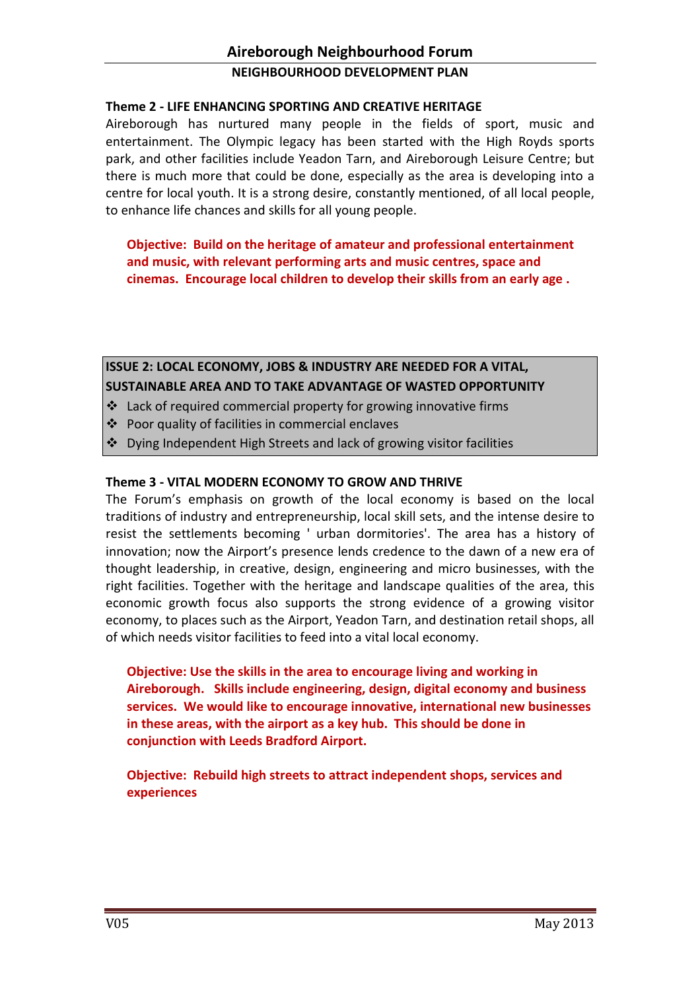### Theme 2 - LIFE ENHANCING SPORTING AND CREATIVE HERITAGE

Aireborough has nurtured many people in the fields of sport, music and entertainment. The Olympic legacy has been started with the High Royds sports park, and other facilities include Yeadon Tarn, and Aireborough Leisure Centre; but there is much more that could be done, especially as the area is developing into a centre for local youth. It is a strong desire, constantly mentioned, of all local people, to enhance life chances and skills for all young people.

Objective: Build on the heritage of amateur and professional entertainment and music, with relevant performing arts and music centres, space and cinemas. Encourage local children to develop their skills from an early age .

# ISSUE 2: LOCAL ECONOMY, JOBS & INDUSTRY ARE NEEDED FOR A VITAL,

### SUSTAINABLE AREA AND TO TAKE ADVANTAGE OF WASTED OPPORTUNITY

- $\cdot$  Lack of required commercial property for growing innovative firms
- Poor quality of facilities in commercial enclaves
- Dying Independent High Streets and lack of growing visitor facilities

### Theme 3 - VITAL MODERN ECONOMY TO GROW AND THRIVE

The Forum's emphasis on growth of the local economy is based on the local traditions of industry and entrepreneurship, local skill sets, and the intense desire to resist the settlements becoming ' urban dormitories'. The area has a history of innovation; now the Airport's presence lends credence to the dawn of a new era of thought leadership, in creative, design, engineering and micro businesses, with the right facilities. Together with the heritage and landscape qualities of the area, this economic growth focus also supports the strong evidence of a growing visitor economy, to places such as the Airport, Yeadon Tarn, and destination retail shops, all of which needs visitor facilities to feed into a vital local economy.

Objective: Use the skills in the area to encourage living and working in Aireborough. Skills include engineering, design, digital economy and business services. We would like to encourage innovative, international new businesses in these areas, with the airport as a key hub. This should be done in conjunction with Leeds Bradford Airport.

Objective: Rebuild high streets to attract independent shops, services and experiences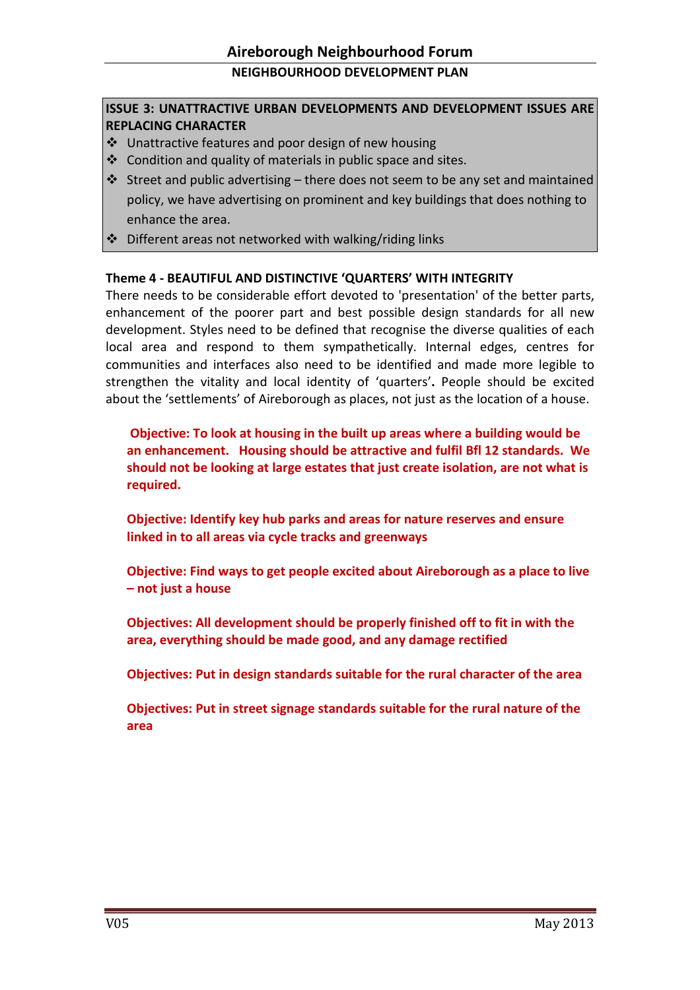### ISSUE 3: UNATTRACTIVE URBAN DEVELOPMENTS AND DEVELOPMENT ISSUES ARE REPLACING CHARACTER

- Unattractive features and poor design of new housing
- $\cdot$  Condition and quality of materials in public space and sites.
- $\cdot$  Street and public advertising there does not seem to be any set and maintained policy, we have advertising on prominent and key buildings that does nothing to enhance the area.
- $\div$  Different areas not networked with walking/riding links

#### Theme 4 - BEAUTIFUL AND DISTINCTIVE 'QUARTERS' WITH INTEGRITY

There needs to be considerable effort devoted to 'presentation' of the better parts, enhancement of the poorer part and best possible design standards for all new development. Styles need to be defined that recognise the diverse qualities of each local area and respond to them sympathetically. Internal edges, centres for communities and interfaces also need to be identified and made more legible to strengthen the vitality and local identity of 'quarters'. People should be excited about the 'settlements' of Aireborough as places, not just as the location of a house.

Objective: To look at housing in the built up areas where a building would be an enhancement. Housing should be attractive and fulfil Bfl 12 standards. We should not be looking at large estates that just create isolation, are not what is required.

Objective: Identify key hub parks and areas for nature reserves and ensure linked in to all areas via cycle tracks and greenways

Objective: Find ways to get people excited about Aireborough as a place to live – not just a house

Objectives: All development should be properly finished off to fit in with the area, everything should be made good, and any damage rectified

Objectives: Put in design standards suitable for the rural character of the area

Objectives: Put in street signage standards suitable for the rural nature of the area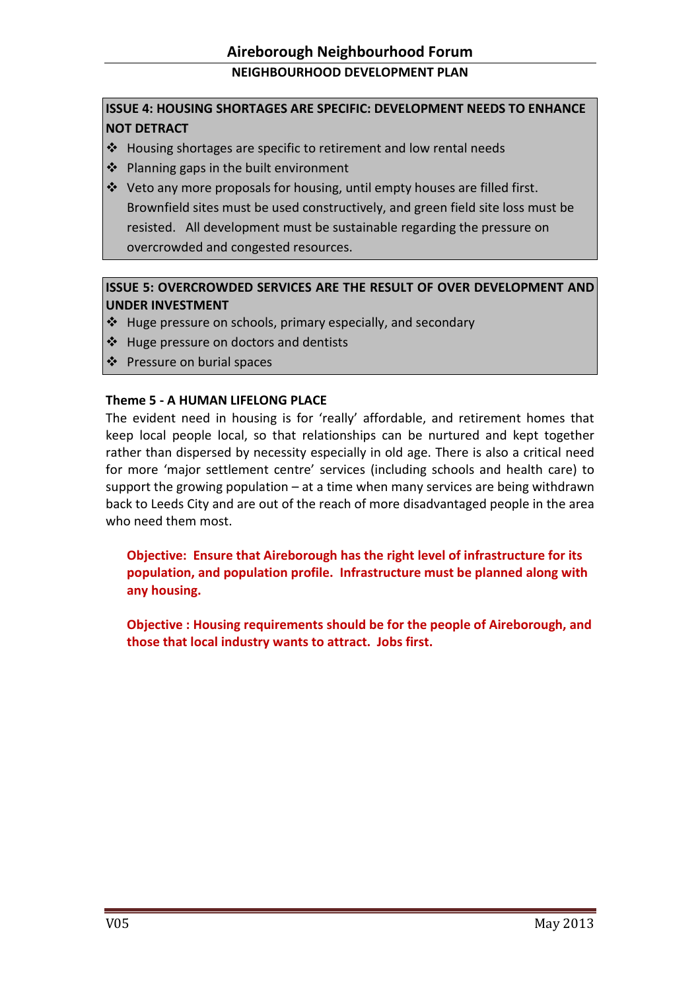### ISSUE 4: HOUSING SHORTAGES ARE SPECIFIC: DEVELOPMENT NEEDS TO ENHANCE NOT DETRACT

- $\div$  Housing shortages are specific to retirement and low rental needs
- ❖ Planning gaps in the built environment
- $\cdot \cdot$  Veto any more proposals for housing, until empty houses are filled first. Brownfield sites must be used constructively, and green field site loss must be resisted. All development must be sustainable regarding the pressure on overcrowded and congested resources.

#### ISSUE 5: OVERCROWDED SERVICES ARE THE RESULT OF OVER DEVELOPMENT AND UNDER INVESTMENT

- $\cdot$  Huge pressure on schools, primary especially, and secondary
- $\div$  Huge pressure on doctors and dentists
- ❖ Pressure on burial spaces

#### Theme 5 - A HUMAN LIFELONG PLACE

The evident need in housing is for 'really' affordable, and retirement homes that keep local people local, so that relationships can be nurtured and kept together rather than dispersed by necessity especially in old age. There is also a critical need for more 'major settlement centre' services (including schools and health care) to support the growing population – at a time when many services are being withdrawn back to Leeds City and are out of the reach of more disadvantaged people in the area who need them most.

Objective: Ensure that Aireborough has the right level of infrastructure for its population, and population profile. Infrastructure must be planned along with any housing.

Objective : Housing requirements should be for the people of Aireborough, and those that local industry wants to attract. Jobs first.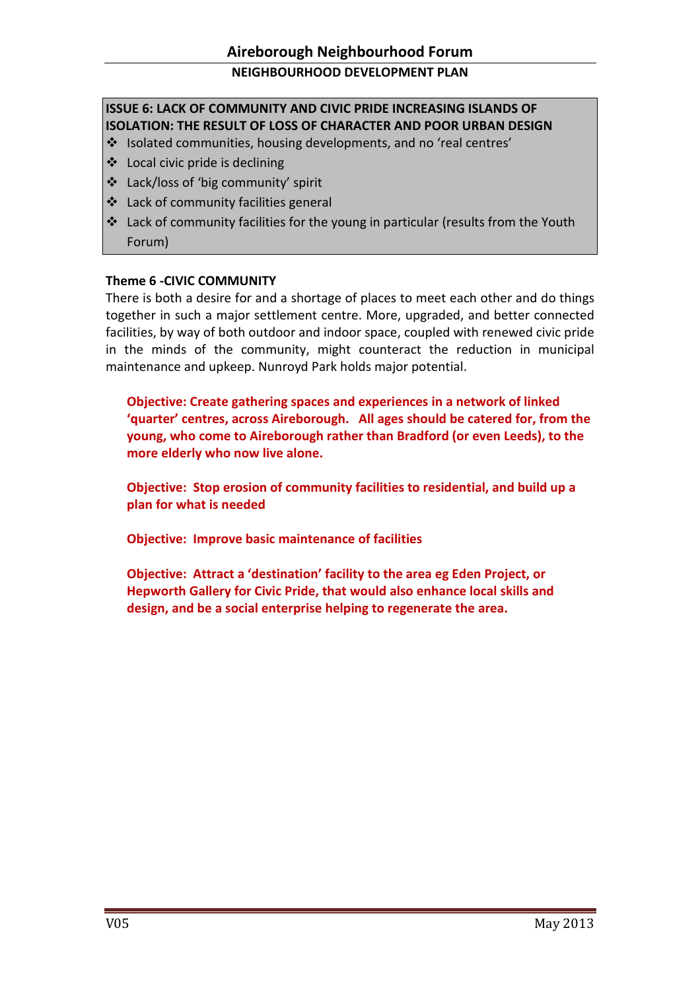## ISSUE 6: LACK OF COMMUNITY AND CIVIC PRIDE INCREASING ISLANDS OF ISOLATION: THE RESULT OF LOSS OF CHARACTER AND POOR URBAN DESIGN

- Isolated communities, housing developments, and no 'real centres'
- $\triangleleft$  Local civic pride is declining
- ❖ Lack/loss of 'big community' spirit
- ❖ Lack of community facilities general
- Lack of community facilities for the young in particular (results from the Youth Forum)

#### Theme 6 -CIVIC COMMUNITY

There is both a desire for and a shortage of places to meet each other and do things together in such a major settlement centre. More, upgraded, and better connected facilities, by way of both outdoor and indoor space, coupled with renewed civic pride in the minds of the community, might counteract the reduction in municipal maintenance and upkeep. Nunroyd Park holds major potential.

Objective: Create gathering spaces and experiences in a network of linked 'quarter' centres, across Aireborough. All ages should be catered for, from the young, who come to Aireborough rather than Bradford (or even Leeds), to the more elderly who now live alone.

Objective: Stop erosion of community facilities to residential, and build up a plan for what is needed

Objective: Improve basic maintenance of facilities

Objective: Attract a 'destination' facility to the area eg Eden Project, or Hepworth Gallery for Civic Pride, that would also enhance local skills and design, and be a social enterprise helping to regenerate the area.